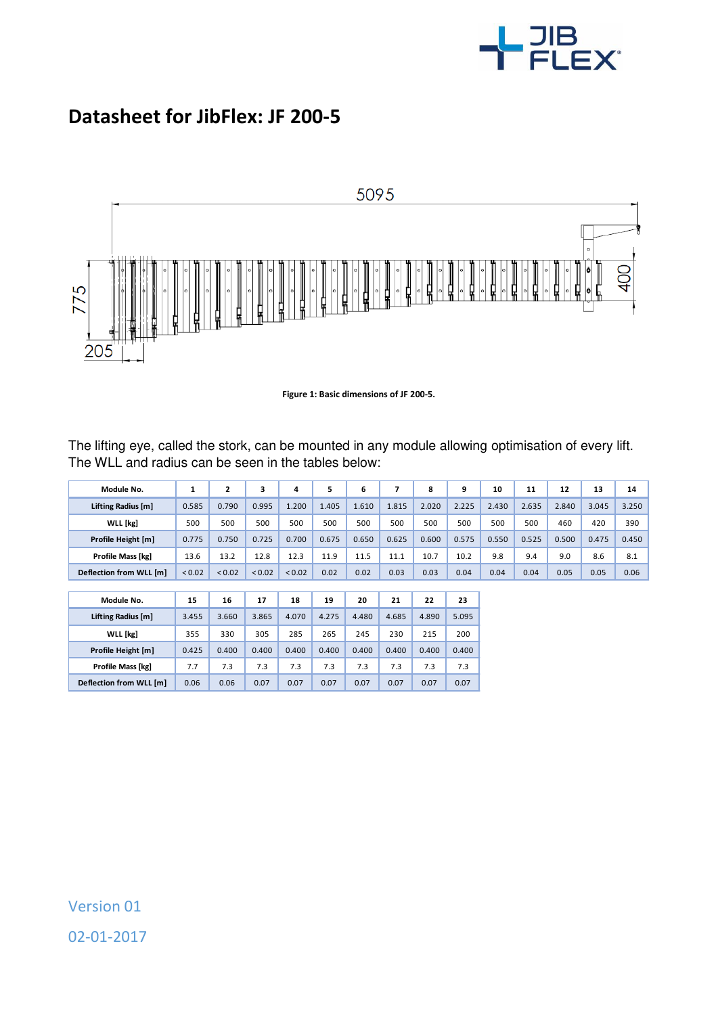

## **Datasheet for JibFlex: JF 200-5**



**Figure 1: Basic dimensions of JF 200-5.** 

The lifting eye, called the stork, can be mounted in any module allowing optimisation of every lift. The WLL and radius can be seen in the tables below:

| Module No.               | 1      | 2           | 3      | 4      | 5     | 6     | 7     | 8     | 9     | 10    | 11    | 12    | 13    | 14    |
|--------------------------|--------|-------------|--------|--------|-------|-------|-------|-------|-------|-------|-------|-------|-------|-------|
| Lifting Radius [m]       | 0.585  | 0.790       | 0.995  | 1.200  | 1.405 | 1.610 | 1.815 | 2.020 | 2.225 | 2.430 | 2.635 | 2.840 | 3.045 | 3.250 |
| WLL [kg]                 | 500    | 500         | 500    | 500    | 500   | 500   | 500   | 500   | 500   | 500   | 500   | 460   | 420   | 390   |
| Profile Height [m]       | 0.775  | 0.750       | 0.725  | 0.700  | 0.675 | 0.650 | 0.625 | 0.600 | 0.575 | 0.550 | 0.525 | 0.500 | 0.475 | 0.450 |
| Profile Mass [kg]        | 13.6   | 13.2        | 12.8   | 12.3   | 11.9  | 11.5  | 11.1  | 10.7  | 10.2  | 9.8   | 9.4   | 9.0   | 8.6   | 8.1   |
| Deflection from WLL [m]  | < 0.02 | ${}_{0.02}$ | < 0.02 | < 0.02 | 0.02  | 0.02  | 0.03  | 0.03  | 0.04  | 0.04  | 0.04  | 0.05  | 0.05  | 0.06  |
|                          |        |             |        |        |       |       |       |       |       |       |       |       |       |       |
| Module No.               | 15     | 16          | 17     | 18     | 19    | 20    | 21    | 22    | 23    |       |       |       |       |       |
| Lifting Radius [m]       | 3.455  | 3.660       | 3.865  | 4.070  | 4.275 | 4.480 | 4.685 | 4.890 | 5.095 |       |       |       |       |       |
| <b>WLL</b> [kg]          | 355    | 330         | 305    | 285    | 265   | 245   | 230   | 215   | 200   |       |       |       |       |       |
| Profile Height [m]       | 0.425  | 0.400       | 0.400  | 0.400  | 0.400 | 0.400 | 0.400 | 0.400 | 0.400 |       |       |       |       |       |
| <b>Profile Mass [kg]</b> | 7.7    | 7.3         | 7.3    | 7.3    | 7.3   | 7.3   | 7.3   | 7.3   | 7.3   |       |       |       |       |       |
| Deflection from WLL [m]  | 0.06   | 0.06        | 0.07   | 0.07   | 0.07  | 0.07  | 0.07  | 0.07  | 0.07  |       |       |       |       |       |